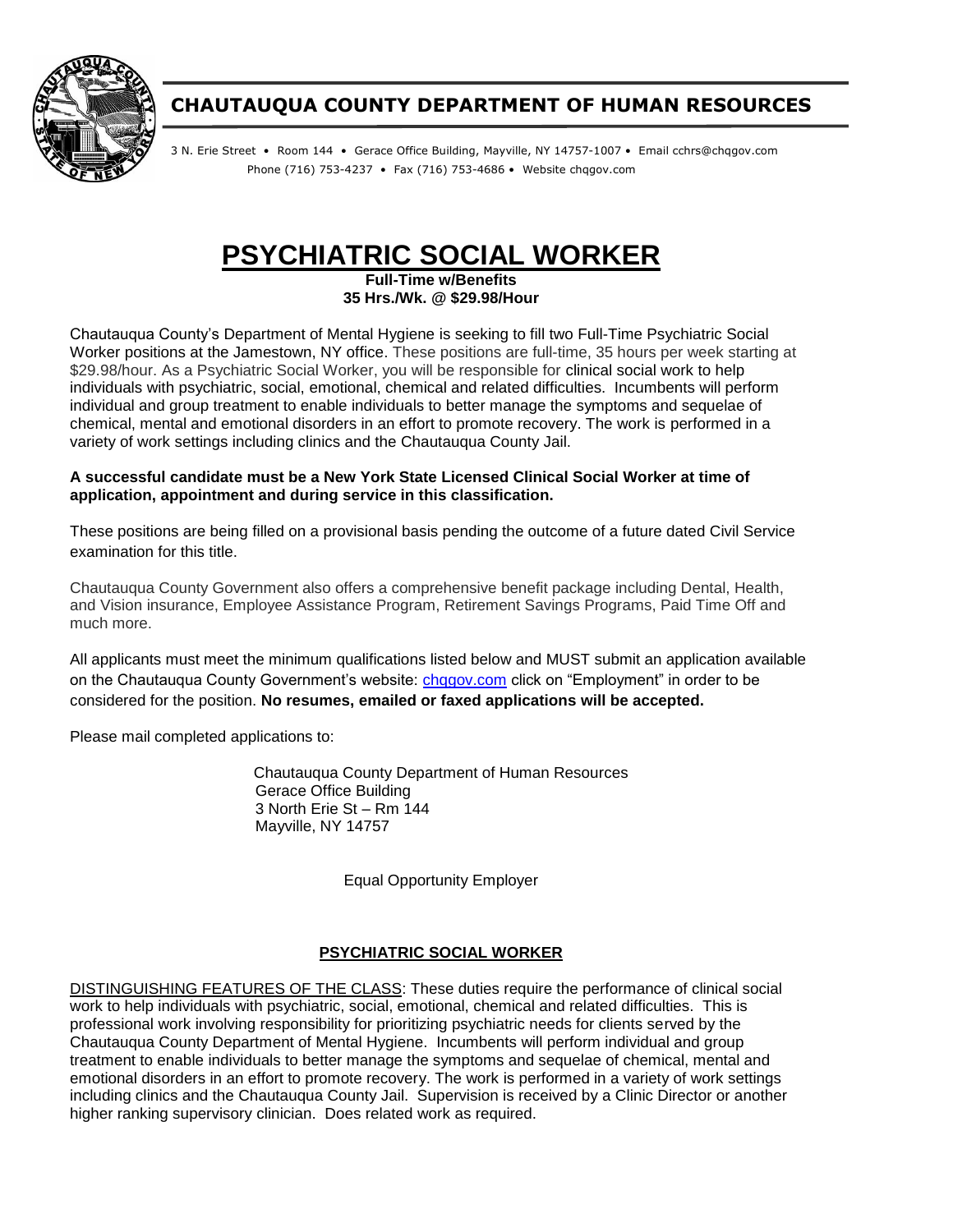

# **CHAUTAUQUA COUNTY DEPARTMENT OF HUMAN RESOURCES**

3 N. Erie Street • Room 144 • Gerace Office Building, Mayville, NY 14757-1007 • Email cchrs@chqgov.com Phone (716) 753-4237 • Fax (716) 753-4686 • Website chqgov.com

# **PSYCHIATRIC SOCIAL WORKER**

**Full-Time w/Benefits 35 Hrs./Wk. @ \$29.98/Hour**

Chautauqua County's Department of Mental Hygiene is seeking to fill two Full-Time Psychiatric Social Worker positions at the Jamestown, NY office. These positions are full-time, 35 hours per week starting at \$29.98/hour. As a Psychiatric Social Worker, you will be responsible for clinical social work to help individuals with psychiatric, social, emotional, chemical and related difficulties. Incumbents will perform individual and group treatment to enable individuals to better manage the symptoms and sequelae of chemical, mental and emotional disorders in an effort to promote recovery. The work is performed in a variety of work settings including clinics and the Chautauqua County Jail.

#### **A successful candidate must be a New York State Licensed Clinical Social Worker at time of application, appointment and during service in this classification.**

These positions are being filled on a provisional basis pending the outcome of a future dated Civil Service examination for this title.

Chautauqua County Government also offers a comprehensive benefit package including Dental, Health, and Vision insurance, Employee Assistance Program, Retirement Savings Programs, Paid Time Off and much more.

All applicants must meet the minimum qualifications listed below and MUST submit an application available on the Chautauqua County Government's website: chqqov.com click on "Employment" in order to be considered for the position. **No resumes, emailed or faxed applications will be accepted.**

Please mail completed applications to:

Chautauqua County Department of Human Resources Gerace Office Building 3 North Erie St – Rm 144 Mayville, NY 14757

Equal Opportunity Employer

### **PSYCHIATRIC SOCIAL WORKER**

DISTINGUISHING FEATURES OF THE CLASS: These duties require the performance of clinical social work to help individuals with psychiatric, social, emotional, chemical and related difficulties. This is professional work involving responsibility for prioritizing psychiatric needs for clients served by the Chautauqua County Department of Mental Hygiene. Incumbents will perform individual and group treatment to enable individuals to better manage the symptoms and sequelae of chemical, mental and emotional disorders in an effort to promote recovery. The work is performed in a variety of work settings including clinics and the Chautauqua County Jail. Supervision is received by a Clinic Director or another higher ranking supervisory clinician. Does related work as required.